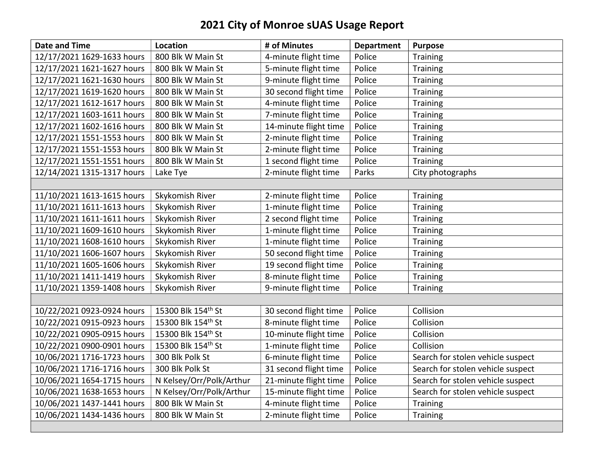## 2021 City of Monroe sUAS Usage Report

| <b>Date and Time</b>       | Location                 | # of Minutes          | <b>Department</b> | <b>Purpose</b>                    |
|----------------------------|--------------------------|-----------------------|-------------------|-----------------------------------|
| 12/17/2021 1629-1633 hours | 800 Blk W Main St        | 4-minute flight time  | Police            | Training                          |
| 12/17/2021 1621-1627 hours | 800 Blk W Main St        | 5-minute flight time  | Police            | <b>Training</b>                   |
| 12/17/2021 1621-1630 hours | 800 Blk W Main St        | 9-minute flight time  | Police            | Training                          |
| 12/17/2021 1619-1620 hours | 800 Blk W Main St        | 30 second flight time | Police            | <b>Training</b>                   |
| 12/17/2021 1612-1617 hours | 800 Blk W Main St        | 4-minute flight time  | Police            | Training                          |
| 12/17/2021 1603-1611 hours | 800 Blk W Main St        | 7-minute flight time  | Police            | Training                          |
| 12/17/2021 1602-1616 hours | 800 Blk W Main St        | 14-minute flight time | Police            | <b>Training</b>                   |
| 12/17/2021 1551-1553 hours | 800 Blk W Main St        | 2-minute flight time  | Police            | <b>Training</b>                   |
| 12/17/2021 1551-1553 hours | 800 Blk W Main St        | 2-minute flight time  | Police            | Training                          |
| 12/17/2021 1551-1551 hours | 800 Blk W Main St        | 1 second flight time  | Police            | Training                          |
| 12/14/2021 1315-1317 hours | Lake Tye                 | 2-minute flight time  | Parks             | City photographs                  |
|                            |                          |                       |                   |                                   |
| 11/10/2021 1613-1615 hours | Skykomish River          | 2-minute flight time  | Police            | <b>Training</b>                   |
| 11/10/2021 1611-1613 hours | Skykomish River          | 1-minute flight time  | Police            | <b>Training</b>                   |
| 11/10/2021 1611-1611 hours | Skykomish River          | 2 second flight time  | Police            | Training                          |
| 11/10/2021 1609-1610 hours | Skykomish River          | 1-minute flight time  | Police            | Training                          |
| 11/10/2021 1608-1610 hours | Skykomish River          | 1-minute flight time  | Police            | Training                          |
| 11/10/2021 1606-1607 hours | Skykomish River          | 50 second flight time | Police            | <b>Training</b>                   |
| 11/10/2021 1605-1606 hours | Skykomish River          | 19 second flight time | Police            | Training                          |
| 11/10/2021 1411-1419 hours | Skykomish River          | 8-minute flight time  | Police            | <b>Training</b>                   |
| 11/10/2021 1359-1408 hours | Skykomish River          | 9-minute flight time  | Police            | <b>Training</b>                   |
|                            |                          |                       |                   |                                   |
| 10/22/2021 0923-0924 hours | 15300 Blk 154th St       | 30 second flight time | Police            | Collision                         |
| 10/22/2021 0915-0923 hours | 15300 Blk 154th St       | 8-minute flight time  | Police            | Collision                         |
| 10/22/2021 0905-0915 hours | 15300 Blk 154th St       | 10-minute flight time | Police            | Collision                         |
| 10/22/2021 0900-0901 hours | 15300 Blk 154th St       | 1-minute flight time  | Police            | Collision                         |
| 10/06/2021 1716-1723 hours | 300 Blk Polk St          | 6-minute flight time  | Police            | Search for stolen vehicle suspect |
| 10/06/2021 1716-1716 hours | 300 Blk Polk St          | 31 second flight time | Police            | Search for stolen vehicle suspect |
| 10/06/2021 1654-1715 hours | N Kelsey/Orr/Polk/Arthur | 21-minute flight time | Police            | Search for stolen vehicle suspect |
| 10/06/2021 1638-1653 hours | N Kelsey/Orr/Polk/Arthur | 15-minute flight time | Police            | Search for stolen vehicle suspect |
| 10/06/2021 1437-1441 hours | 800 Blk W Main St        | 4-minute flight time  | Police            | Training                          |
| 10/06/2021 1434-1436 hours | 800 Blk W Main St        | 2-minute flight time  | Police            | Training                          |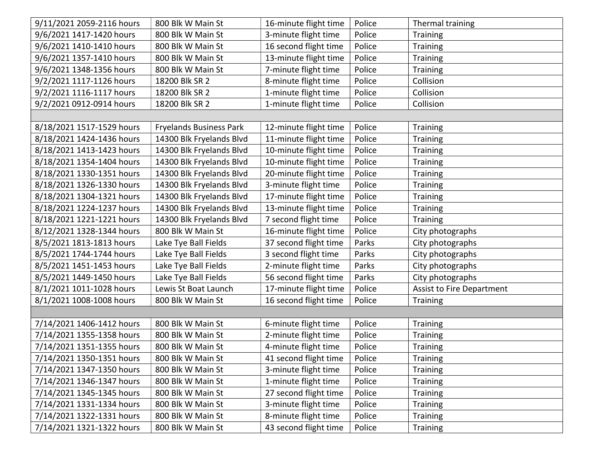| 9/11/2021 2059-2116 hours | 800 Blk W Main St              | 16-minute flight time | Police | Thermal training                 |  |
|---------------------------|--------------------------------|-----------------------|--------|----------------------------------|--|
| 9/6/2021 1417-1420 hours  | 800 Blk W Main St              | 3-minute flight time  | Police | <b>Training</b>                  |  |
| 9/6/2021 1410-1410 hours  | 800 Blk W Main St              | 16 second flight time | Police | <b>Training</b>                  |  |
| 9/6/2021 1357-1410 hours  | 800 Blk W Main St              | 13-minute flight time | Police | <b>Training</b>                  |  |
| 9/6/2021 1348-1356 hours  | 800 Blk W Main St              | 7-minute flight time  | Police | Training                         |  |
| 9/2/2021 1117-1126 hours  | 18200 Blk SR 2                 | 8-minute flight time  | Police | Collision                        |  |
| 9/2/2021 1116-1117 hours  | 18200 Blk SR 2                 | 1-minute flight time  | Police | Collision                        |  |
| 9/2/2021 0912-0914 hours  | 18200 Blk SR 2                 | 1-minute flight time  | Police | Collision                        |  |
|                           |                                |                       |        |                                  |  |
| 8/18/2021 1517-1529 hours | <b>Fryelands Business Park</b> | 12-minute flight time | Police | <b>Training</b>                  |  |
| 8/18/2021 1424-1436 hours | 14300 Blk Fryelands Blvd       | 11-minute flight time | Police | Training                         |  |
| 8/18/2021 1413-1423 hours | 14300 Blk Fryelands Blvd       | 10-minute flight time | Police | Training                         |  |
| 8/18/2021 1354-1404 hours | 14300 Blk Fryelands Blvd       | 10-minute flight time | Police | Training                         |  |
| 8/18/2021 1330-1351 hours | 14300 Blk Fryelands Blvd       | 20-minute flight time | Police | <b>Training</b>                  |  |
| 8/18/2021 1326-1330 hours | 14300 Blk Fryelands Blvd       | 3-minute flight time  | Police | <b>Training</b>                  |  |
| 8/18/2021 1304-1321 hours | 14300 Blk Fryelands Blvd       | 17-minute flight time | Police | <b>Training</b>                  |  |
| 8/18/2021 1224-1237 hours | 14300 Blk Fryelands Blvd       | 13-minute flight time | Police | <b>Training</b>                  |  |
| 8/18/2021 1221-1221 hours | 14300 Blk Fryelands Blvd       | 7 second flight time  | Police | <b>Training</b>                  |  |
| 8/12/2021 1328-1344 hours | 800 Blk W Main St              | 16-minute flight time | Police | City photographs                 |  |
| 8/5/2021 1813-1813 hours  | Lake Tye Ball Fields           | 37 second flight time | Parks  | City photographs                 |  |
| 8/5/2021 1744-1744 hours  | Lake Tye Ball Fields           | 3 second flight time  | Parks  | City photographs                 |  |
| 8/5/2021 1451-1453 hours  | Lake Tye Ball Fields           | 2-minute flight time  | Parks  | City photographs                 |  |
| 8/5/2021 1449-1450 hours  | Lake Tye Ball Fields           | 56 second flight time | Parks  | City photographs                 |  |
| 8/1/2021 1011-1028 hours  | Lewis St Boat Launch           | 17-minute flight time | Police | <b>Assist to Fire Department</b> |  |
| 8/1/2021 1008-1008 hours  | 800 Blk W Main St              | 16 second flight time | Police | <b>Training</b>                  |  |
|                           |                                |                       |        |                                  |  |
| 7/14/2021 1406-1412 hours | 800 Blk W Main St              | 6-minute flight time  | Police | <b>Training</b>                  |  |
| 7/14/2021 1355-1358 hours | 800 Blk W Main St              | 2-minute flight time  | Police | <b>Training</b>                  |  |
| 7/14/2021 1351-1355 hours | 800 Blk W Main St              | 4-minute flight time  | Police | Training                         |  |
| 7/14/2021 1350-1351 hours | 800 Blk W Main St              | 41 second flight time | Police | Training                         |  |
| 7/14/2021 1347-1350 hours | 800 Blk W Main St              | 3-minute flight time  | Police | <b>Training</b>                  |  |
| 7/14/2021 1346-1347 hours | 800 Blk W Main St              | 1-minute flight time  | Police | Training                         |  |
| 7/14/2021 1345-1345 hours | 800 Blk W Main St              | 27 second flight time | Police | <b>Training</b>                  |  |
| 7/14/2021 1331-1334 hours | 800 Blk W Main St              | 3-minute flight time  | Police | <b>Training</b>                  |  |
| 7/14/2021 1322-1331 hours | 800 Blk W Main St              | 8-minute flight time  | Police | <b>Training</b>                  |  |
| 7/14/2021 1321-1322 hours | 800 Blk W Main St              | 43 second flight time | Police | <b>Training</b>                  |  |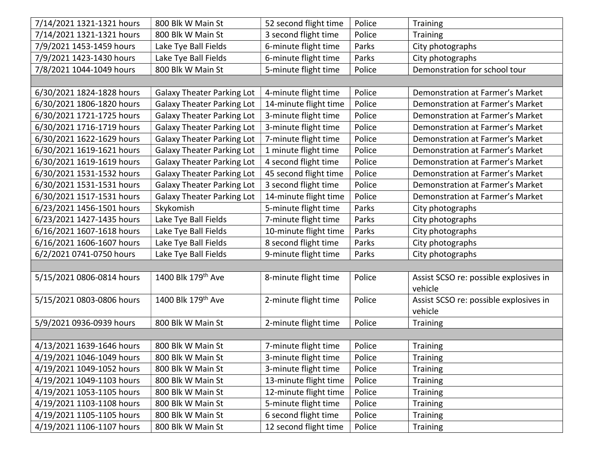| 7/14/2021 1321-1321 hours | 800 Blk W Main St                 | 52 second flight time | Police | <b>Training</b>                        |
|---------------------------|-----------------------------------|-----------------------|--------|----------------------------------------|
| 7/14/2021 1321-1321 hours | 800 Blk W Main St                 | 3 second flight time  | Police | <b>Training</b>                        |
| 7/9/2021 1453-1459 hours  | Lake Tye Ball Fields              | 6-minute flight time  | Parks  | City photographs                       |
| 7/9/2021 1423-1430 hours  | Lake Tye Ball Fields              | 6-minute flight time  | Parks  | City photographs                       |
| 7/8/2021 1044-1049 hours  | 800 Blk W Main St                 | 5-minute flight time  | Police | Demonstration for school tour          |
|                           |                                   |                       |        |                                        |
| 6/30/2021 1824-1828 hours | <b>Galaxy Theater Parking Lot</b> | 4-minute flight time  | Police | Demonstration at Farmer's Market       |
| 6/30/2021 1806-1820 hours | <b>Galaxy Theater Parking Lot</b> | 14-minute flight time | Police | Demonstration at Farmer's Market       |
| 6/30/2021 1721-1725 hours | <b>Galaxy Theater Parking Lot</b> | 3-minute flight time  | Police | Demonstration at Farmer's Market       |
| 6/30/2021 1716-1719 hours | <b>Galaxy Theater Parking Lot</b> | 3-minute flight time  | Police | Demonstration at Farmer's Market       |
| 6/30/2021 1622-1629 hours | <b>Galaxy Theater Parking Lot</b> | 7-minute flight time  | Police | Demonstration at Farmer's Market       |
| 6/30/2021 1619-1621 hours | <b>Galaxy Theater Parking Lot</b> | 1 minute flight time  | Police | Demonstration at Farmer's Market       |
| 6/30/2021 1619-1619 hours | <b>Galaxy Theater Parking Lot</b> | 4 second flight time  | Police | Demonstration at Farmer's Market       |
| 6/30/2021 1531-1532 hours | <b>Galaxy Theater Parking Lot</b> | 45 second flight time | Police | Demonstration at Farmer's Market       |
| 6/30/2021 1531-1531 hours | <b>Galaxy Theater Parking Lot</b> | 3 second flight time  | Police | Demonstration at Farmer's Market       |
| 6/30/2021 1517-1531 hours | <b>Galaxy Theater Parking Lot</b> | 14-minute flight time | Police | Demonstration at Farmer's Market       |
| 6/23/2021 1456-1501 hours | Skykomish                         | 5-minute flight time  | Parks  | City photographs                       |
| 6/23/2021 1427-1435 hours | Lake Tye Ball Fields              | 7-minute flight time  | Parks  | City photographs                       |
| 6/16/2021 1607-1618 hours | Lake Tye Ball Fields              | 10-minute flight time | Parks  | City photographs                       |
| 6/16/2021 1606-1607 hours | Lake Tye Ball Fields              | 8 second flight time  | Parks  | City photographs                       |
| 6/2/2021 0741-0750 hours  | Lake Tye Ball Fields              | 9-minute flight time  | Parks  | City photographs                       |
|                           |                                   |                       |        |                                        |
| 5/15/2021 0806-0814 hours | 1400 Blk 179th Ave                | 8-minute flight time  | Police | Assist SCSO re: possible explosives in |
|                           |                                   |                       |        | vehicle                                |
| 5/15/2021 0803-0806 hours | 1400 Blk 179 <sup>th</sup> Ave    | 2-minute flight time  | Police | Assist SCSO re: possible explosives in |
|                           |                                   |                       |        | vehicle                                |
| 5/9/2021 0936-0939 hours  | 800 Blk W Main St                 | 2-minute flight time  | Police | <b>Training</b>                        |
|                           |                                   |                       |        |                                        |
| 4/13/2021 1639-1646 hours | 800 Blk W Main St                 | 7-minute flight time  | Police | <b>Training</b>                        |
| 4/19/2021 1046-1049 hours | 800 Blk W Main St                 | 3-minute flight time  | Police | <b>Training</b>                        |
| 4/19/2021 1049-1052 hours | 800 Blk W Main St                 | 3-minute flight time  | Police | <b>Training</b>                        |
| 4/19/2021 1049-1103 hours | 800 Blk W Main St                 | 13-minute flight time | Police | <b>Training</b>                        |
| 4/19/2021 1053-1105 hours | 800 Blk W Main St                 | 12-minute flight time | Police | <b>Training</b>                        |
| 4/19/2021 1103-1108 hours | 800 Blk W Main St                 | 5-minute flight time  | Police | <b>Training</b>                        |
| 4/19/2021 1105-1105 hours | 800 Blk W Main St                 | 6 second flight time  | Police | <b>Training</b>                        |
| 4/19/2021 1106-1107 hours | 800 Blk W Main St                 | 12 second flight time | Police | <b>Training</b>                        |